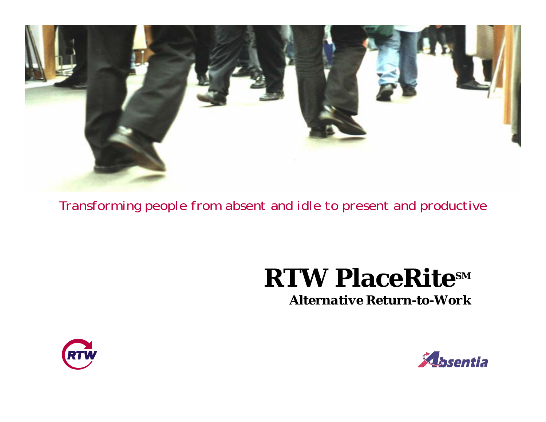

*Transforming people from absent and idle to present and productive*

# **RTW PlaceRitesM**

*Alternative Return-to-Work*



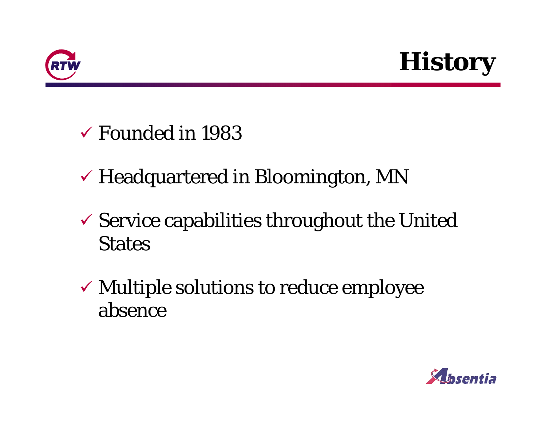



- $\checkmark$  Founded in 1983
- $\checkmark$  Headquartered in Bloomington, MN
- $\checkmark$  Service capabilities throughout the United States
- $\checkmark$  Multiple solutions to reduce employee absence

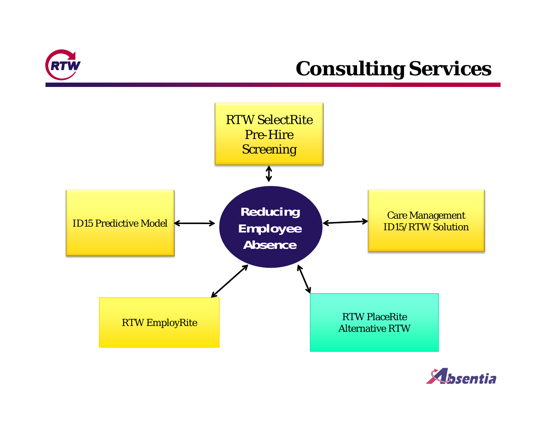

#### **Consulting Services**



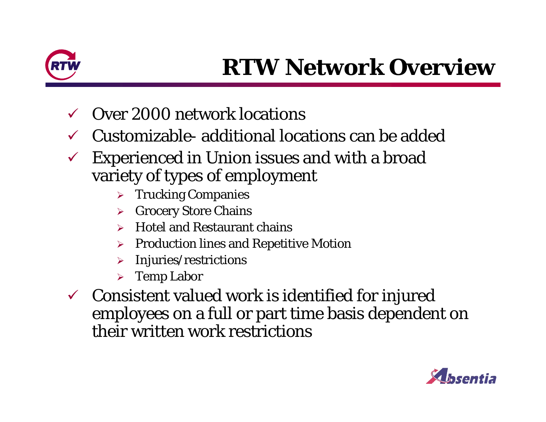

- $\checkmark$ Over 2000 network locations
- $\checkmark$  $\checkmark$  Customizable- additional locations can be added
- $\checkmark$  Experienced in Union issues and with a broad variety of types of employment
	- ¾ Trucking Companies
	- ¾Grocery Store Chains
	- ¾Hotel and Restaurant chains
	- ¾Production lines and Repetitive Motion
	- ¾Injuries/restrictions
	- ¾ Temp Labor
- $\checkmark$  Consistent valued work is identified for injured employees on a full or part time basis dependent on their written work restrictions

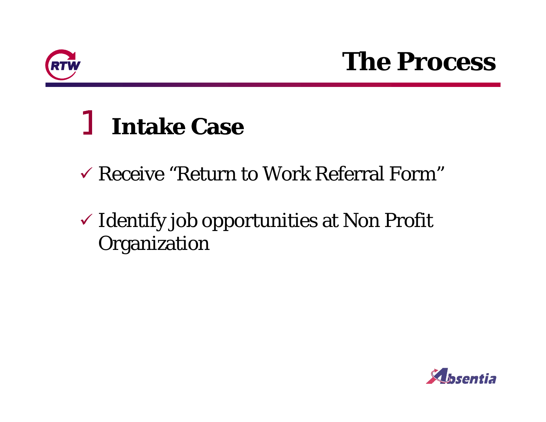

# **The Process**

# 1 **Intake Case**

- $\checkmark$  Receive "Return to Work Referral Form"
- $\checkmark$  Identify job opportunities at Non Profit Organization

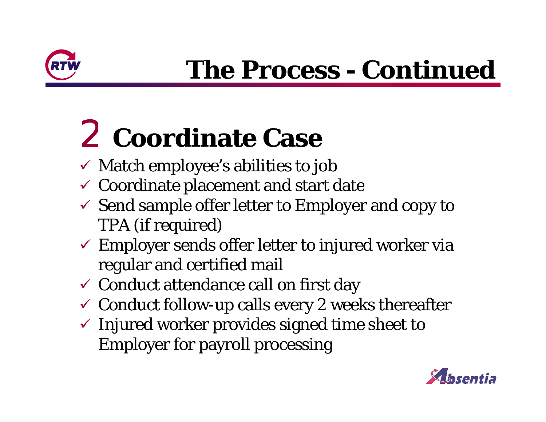

# **The Process - Continued**

# 2 **C di C Coordinate Case**

- $\checkmark$  Match employee's abilities to job
- $\checkmark$  Coordinate placement and start date
- $\checkmark$  Send sample offer letter to Employer and copy to TPA (if required)
- $\checkmark$  Employer sends offer letter to injured worker via regular and certified mail
- $\checkmark$  Conduct attendance call on first day
- $\checkmark$  Conduct follow-up calls every 2 weeks thereafter
- $\checkmark$  Injured worker provides signed time sheet to Employer for payroll processing

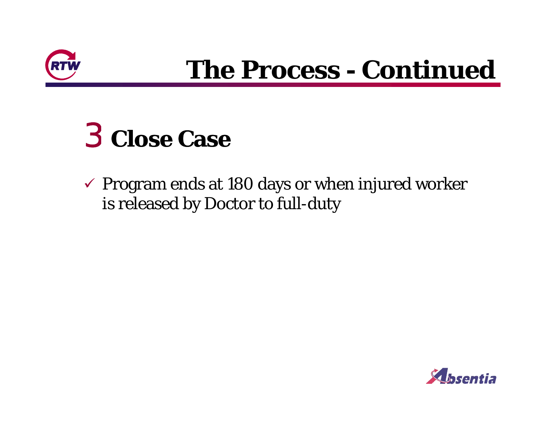

# **The Process - Continued**

# 3 **Close Case**

 $\checkmark$  Program ends at 180 days or when injured worker is released by Doctor to full-duty

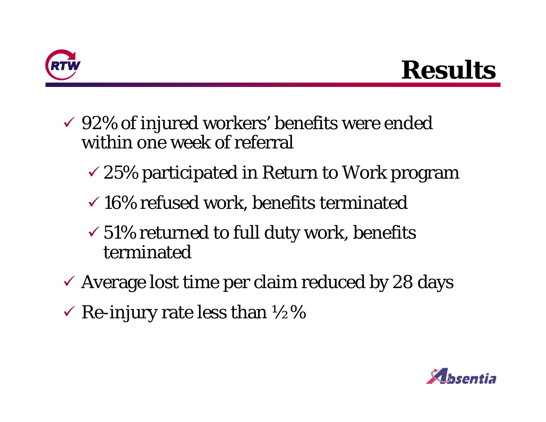

### **Results**

- $\checkmark$  92% of injured workers' benefits were ended within one week of referral
	- $\sim$  25% participated in Return to Work program
	- $\checkmark$  16% refused work, benefits terminated
	- $\checkmark 51\%$  returned to full duty work, benefits terminated
- $\checkmark$  Average lost time per claim reduced by 28 days
- $\checkmark$  Re-injury rate less than  $\frac{1}{2}\%$

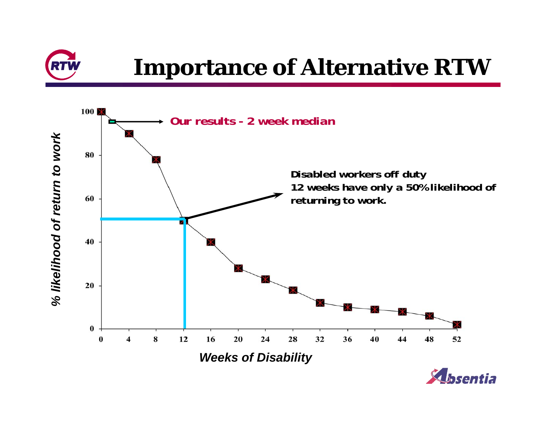

### **Importance of Alternative RTW**

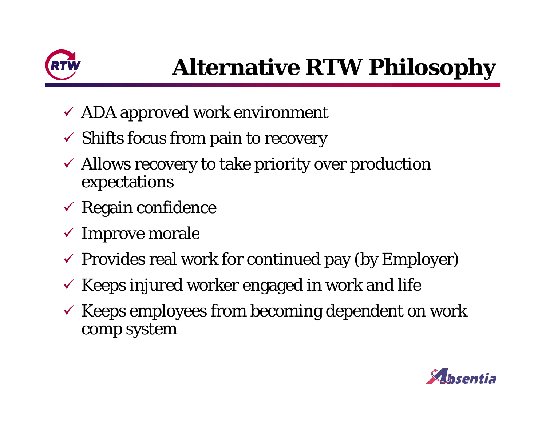

- $\checkmark$  ADA approved work environment
- $\checkmark$  Shifts focus from pain to recovery
- $\checkmark$  Allows recovery to take priority over production expectations
- $\checkmark$  Regain confidence
- $\checkmark$  Improve morale
- $\checkmark$  Provides real work for continued pay (by Employer)
- $\checkmark$  Keeps injured worker engaged in work and life
- $\checkmark$  Keeps employees from becoming dependent on work comp system

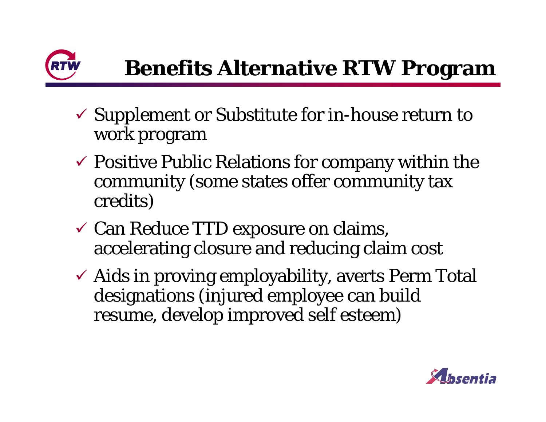

- $\checkmark$  Supplement or Substitute for in-house return to work program
- $\checkmark$  Positive Public Relations for company within the community (some states offer community tax credits)
- $\checkmark$  Can Reduce TTD exposure on claims, accelerating closure and reducing claim cost
- $\checkmark$  Aids in proving employability, averts Perm Total designations (injured employee can build resume, develop improved self esteem)

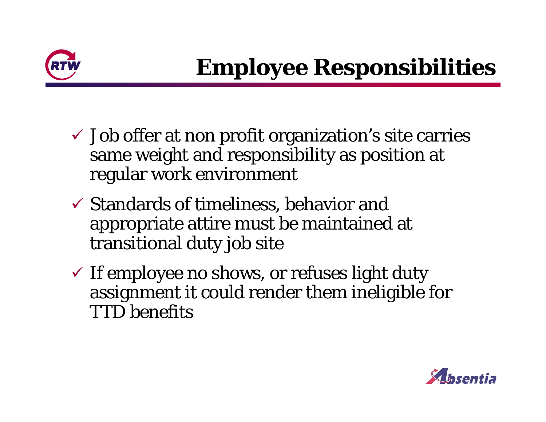

- $\checkmark$  Job offer at non profit organization's site carries same weight and responsibility as position at regular work environment
- $\checkmark$  Standards of timeliness, behavior and appropriate attire must be maintained at transitional duty job site
- $\checkmark$  If employee no shows, or refuses light duty assignment it could render them ineligible for TTD benefits

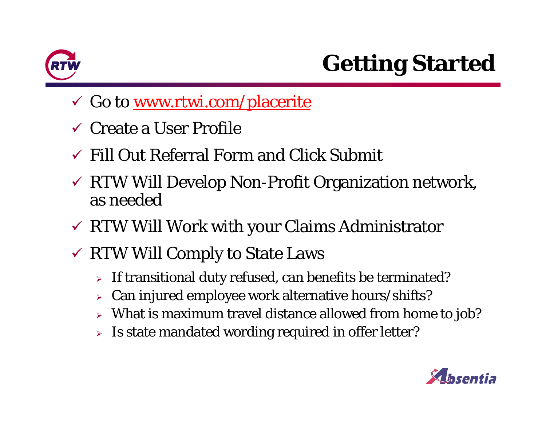

- √ Go to <u>www.rtwi.com/placerite</u>
- $\checkmark$  Create a User Profile
- $\checkmark$  Fill Out Referral Form and Click Submit
- $\checkmark$  RTW Will Develop Non-Profit Organization network, as needed
- $\checkmark$  RTW Will Work with your Claims Administrator
- $\checkmark$  RTW Will Comply to State Laws
	- $\triangleright$  If transitional duty refused, can benefits be terminated?
	- $\blacktriangleright$ Can injured employee work alternative hours/shifts?
	- $\triangleright$  What is maximum travel distance allowed from home to job?
	- $\triangleright$  Is state mandated wording required in offer letter?

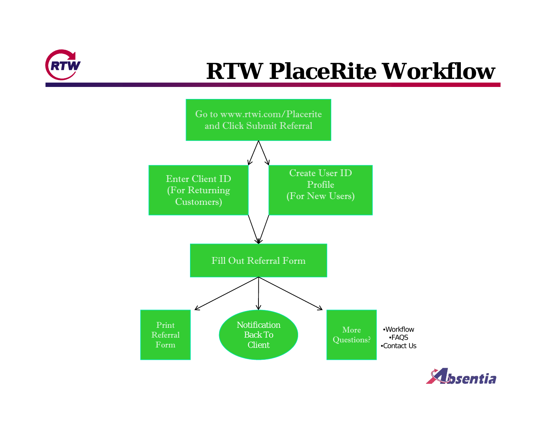

### **RTW PlaceRite Workflow**